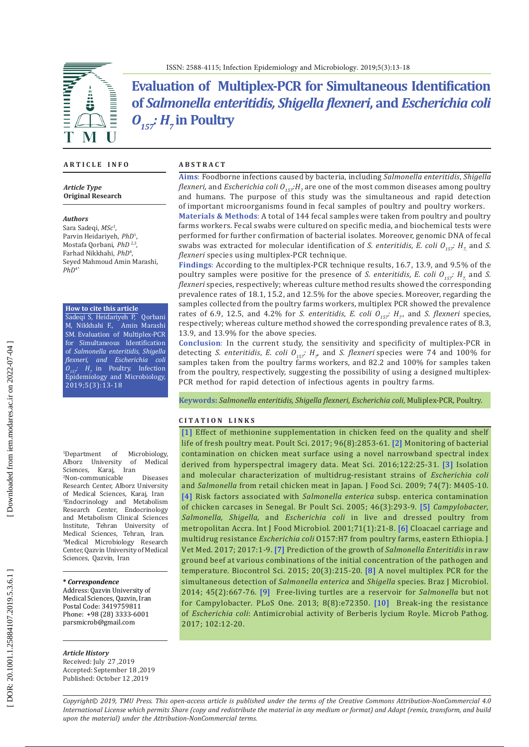

**Evaluation of Multiplex-PCR for Simultaneous Identification of** *Salmonella enteritidis, Shigella flexneri***, and** *Escherichia coli O157: H7* **in Poultry**

#### **A R T I C L E I N F O**

*Article Type* **Original Research**

#### *Authors*

Sara Sadeqi, *MSc* 1 , Parvin Heidariyeh, *PhD* 1 , Mostafa Qorbani, *PhD* 2,3, Farhad Nikkhahi, *PhD* 4 , Seyed Mahmoud Amin Marashi,  $PhD<sup>4*</sup>$ 

**How to cite this article**

Sadeqi S, Heidariyeh P, Qorbani M, Nikkhahi F., Amin Marashi SM. Evaluation of Multiplex-PCR for Simultaneous Identification of *Salmonella enteritidis, Shigella flexneri, and Escherichia coli*  $O_{157}$ :  $H_7$  in Poultry. Infection Epidemiology and Microbiology, 2019;5(3):13-18

 $1$ Denartment of Microbiology,<br>of Medical Alborz University of<br>Sciences, Karaj, Iran Sciences, Karaj, 2 Non-communicable Diseases Research Center, Alborz University of Medical Sciences, Karaj, Iran 3 Endocrinology and Metabolism Research Center, Endocrinology and Metabolism Clinical Sciences Institute, Tehran University of Medical Sciences, Tehran, Iran. 4 Medical Microbiology Research Center, Qazvin University of Medical Sciences, Qazvin, Iran

**\*** *Correspondence*

Address: Qazvin University of Medical Sciences, Qazvin, Iran Postal Code: 3419759811 Phone: +98 (28) 3333-6001 parsmicrob@gmail.com

#### *Article History*

Received: July 27 ,2019 Accepted: September 18 ,2019 Published: October 12 ,2019

### **A B S T R A C T**

**Aims** : Foodborne infections caused by bacteria, including *Salmonella enteritidis* , *Shigella flexneri,* and *Escherichia coli O<sub>157</sub>:H<sub>7</sub> are one of the most common diseases among poultry* and humans. The purpose of this study was the simultaneous and rapid detection of important microorganisms found in fecal samples of poultry and poultry workers.

**Materials & Methods** : A total of 144 fecal samples were taken from poultry and poultry farms workers. Fecal swabs were cultured on specific media, and biochemical tests were performed for further confirmation of bacterial isolates. Moreover, genomic DNA of fecal swabs was extracted for molecular identification of *S. enteritidis, E. coli*  $O_{157}$ :  $H_7$ , and *S. flexneri* species using multiplex-PCR technique.

**Findings** : According to the multiplex-PCR technique results, 16.7, 13.9, and 9.5% of the poultry samples were positive for the presence of *S. enteritidis*, *E. coli*  $O_{157}$ :  $H_7$  and *S. flexneri* species, respectively; whereas culture method results showed the corresponding prevalence rates of 18.1, 15.2, and 12.5% for the above species. Moreover, regarding the samples collected from the poultry farms workers, multiplex PCR showed the prevalence rates of 6.9, 12.5, and 4.2% for *S. enteritidis*, *E. coli*  $O_{157}$ :  $H_7$ , and *S. flexneri* species, respectively; whereas culture method showed the corresponding prevalence rates of 8.3, 13.9, and 13.9% for the above species.

**Conclusion** : In the current study, the sensitivity and specificity of multiplex-PCR in detecting *S. enteritidis, E. coli*  $O_{157}$ :  $H_{7}$ , and *S. flexneri* species were 74 and 100% for samples taken from the poultry farms workers, and 82.2 and 100% for samples taken from the poultry, respectively, suggesting the possibility of using a designed multiplex-PCR method for rapid detection of infectious agents in poultry farms.

**Keywords :** *Salmonella enteritidis, Shigella flexneri, Escherichia coli*, Muliplex-PCR, Poultry.

#### **C I T A T I O N L I N K S**

[\[1\]](https://www.ncbi.nlm.nih.gov/pubmed/28419366) Effect of methionine supplementation in chicken feed on the quality and shelf life of fresh poultry meat. Poult Sci. 2017; 96(8):2853-61. [\[2\]](https://www.ncbi.nlm.nih.gov/pubmed/27471794) Monitoring of bacterial contamination on chicken meat surface using a novel narrowband spectral index derived from hyperspectral imagery data. Meat Sci. 2016;122:25-31. [\[3\]](https://www.ncbi.nlm.nih.gov/pubmed/19895488) Isolation and molecular characterization of multidrug-resistant strains of *Escherichia coli*  and *Salmonella* from retail chicken meat in Japan. J Food Sci. 2009; 74(7): M405-10. [\[4\]](https://www.ncbi.nlm.nih.gov/pubmed/16050182) Risk factors associated with *Salmonella enterica* subsp. enterica contamination of chicken carcases in Senegal. Br Poult Sci. 2005; 46(3):293-9. [\[5\]](https://www.ncbi.nlm.nih.gov/pubmed/11764888) *Campylobacter, Salmonella, Shigella,* and *Escherichia coli* in live and dressed poultry from metropolitan Accra. Int J Food Microbiol. 2001;71(1):21-8. [\[6\]](https://www.ncbi.nlm.nih.gov/pubmed/26412703) Cloacael carriage and multidrug resistance *Escherichia coli* O157:H7 from poultry farms, eastern Ethiopia. J Vet Med. 2017; 2017:1-9. [\[7\] P](https://www.hindawi.com/journals/jvm/2017/8264583/)rediction of the growth of *Salmonella Enteritidis* in raw ground beef at various combinations of the initial concentration of the pathogen and temperature. Biocontrol Sci. 2015; 20(3):215-20. [\[8\]](https://www.ncbi.nlm.nih.gov/pubmed/25242957) A novel multiplex PCR for the simultaneous detection of *Salmonella enterica* and *Shigella* species. Braz J Microbiol. 2014; 45(2):667-76. [\[9\]](https://www.ncbi.nlm.nih.gov/pmc/articles/PMC3737154/) Free-living turtles are a reservoir for *Salmonella* but not for Campylobacter. PLoS One. 2013; 8(8):e72350. [\[10\]](https://www.ncbi.nlm.nih.gov/pubmed/27888048) Break-ing the resistance of *Escherichia coli*: Antimicrobial activity of Berberis lycium Royle. Microb Pathog. 2017; 102:12-20.

*Copyright© 2019, TMU Press. This open-access article is published under the terms of the Creative Commons Attribution-NonCommercial 4.0 International License which permits Share (copy and redistribute the material in any medium or format) and Adapt (remix, transform, and build upon the material) under the Attribution-NonCommercial terms.*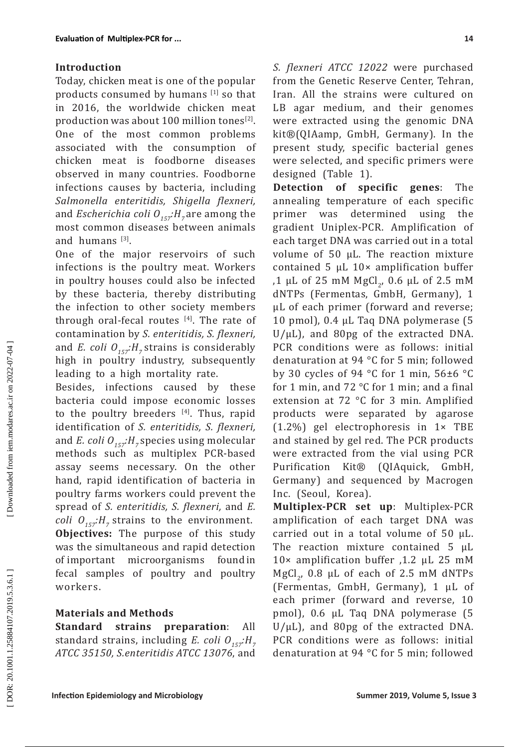## **Introduction**

Today, chicken meat is one of the popular products consumed by humans [1] so that in 2016, the worldwide chicken meat production was about 100 million tones<sup>[2]</sup>. One of the most common problems associated with the consumption of chicken meat is foodborne diseases observed in many countries. Foodborne infections causes by bacteria, including *Salmonella enteritidis, Shigella flexneri,* and *Escherichia coli*  $O_{157}H_{7}$  are among the most common diseases between animals and humans  $^{[3]}$ .

One of the major reservoirs of such infections is the poultry meat. Workers in poultry houses could also be infected by these bacteria, thereby distributing the infection to other society members through oral-fecal routes  $[4]$ . The rate of contamination by *S. enteritidis, S. flexneri,* and *E. coli*  $O_{157}H_{7}$  strains is considerably high in poultry industry, subsequently leading to a high mortality rate.

Besides, infections caused by these bacteria could impose economic losses to the poultry breeders  $[4]$ . Thus, rapid identification of *S. enteritidis, S. flexneri,* and *E. coli*  $O_{157}H_7$  species using molecular methods such as multiplex PCR-based assay seems necessary. On the other hand, rapid identification of bacteria in poultry farms workers could prevent the spread of *S. enteritidis, S. flexneri,* and *E. coli*  $O_{157}$ *:H<sub>7</sub> strains to the environment.* **Objectives:** The purpose of this study was the simultaneous and rapid detection of important microorganisms found in fecal samples of poultry and poultry workers.

## **Materials and Methods**

**Standard strains preparation**: All standard strains, including *E. coli O<sub>157</sub>:H*<sub>7</sub> *ATCC 35150, S.enteritidis ATCC 13076*, and *S. flexneri ATCC 12022* were purchased from the Genetic Reserve Center, Tehran, Iran. All the strains were cultured on LB agar medium, and their genomes were extracted using the genomic DNA kit®(QIAamp, GmbH, Germany). In the present study, specific bacterial genes were selected, and specific primers were designed (Table 1).

**Detection of specific genes**: The annealing temperature of each specific primer was determined using the gradient Uniplex-PCR. Amplification of each target DNA was carried out in a total volume of 50 µL. The reaction mixture contained 5 µL 10× amplification buffer ,1 µL of 25 mM  $MgCl_2$ , 0.6 µL of 2.5 mM dNTPs (Fermentas, GmbH, Germany), 1 µL of each primer (forward and reverse; 10 pmol), 0.4 µL Taq DNA polymerase (5 U/µL), and 80pg of the extracted DNA. PCR conditions were as follows: initial denaturation at 94 °C for 5 min; followed by 30 cycles of 94 °C for 1 min, 56±6 °C for 1 min, and 72 °C for 1 min; and a final extension at 72 °C for 3 min. Amplified products were separated by agarose (1.2%) gel electrophoresis in 1× TBE and stained by gel red. The PCR products were extracted from the vial using PCR Purification Kit® (QIAquick, GmbH, Germany) and sequenced by Macrogen Inc. (Seoul, Korea).

**Multiplex-PCR set up**: Multiplex-PCR amplification of each target DNA was carried out in a total volume of 50 µL. The reaction mixture contained 5 µL 10× amplification buffer ,1.2 µL 25 mM MgCl<sub>2</sub>,  $0.8$   $\mu$ L of each of 2.5 mM dNTPs (Fermentas, GmbH, Germany), 1 µL of each primer (forward and reverse, 10 pmol), 0.6 µL Taq DNA polymerase (5 U/µL), and 80pg of the extracted DNA. PCR conditions were as follows: initial denaturation at 94 °C for 5 min; followed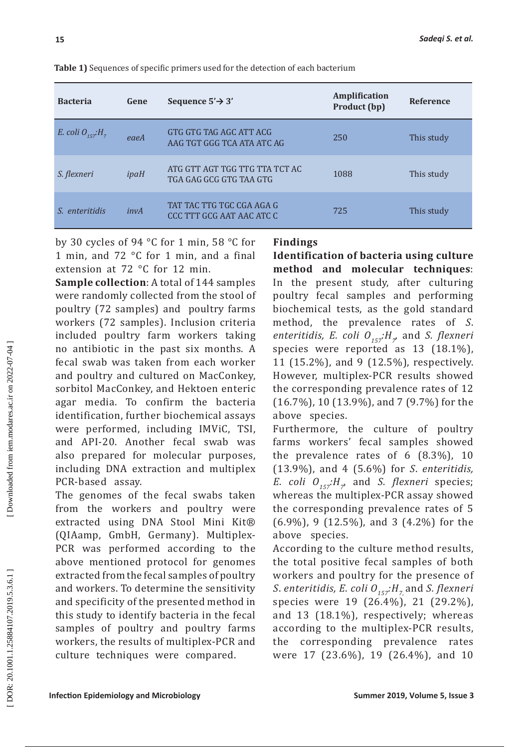| <b>Bacteria</b>      | Gene | Sequence $5' \rightarrow 3'$                              | <b>Amplification</b><br>Product (bp) | <b>Reference</b> |
|----------------------|------|-----------------------------------------------------------|--------------------------------------|------------------|
| E. coli $O_{157}H_7$ | eaeA | GTG GTG TAG AGC ATT ACG<br>AAG TGT GGG TCA ATA ATC AG     | 250                                  | This study       |
| S. flexneri          | ipaH | ATG GTT AGT TGG TTG TTA TCT AC<br>TGA GAG GCG GTG TAA GTG | 1088                                 | This study       |
| S enteritidis        | invA | TAT TAC TTG TGC CGA AGA G<br>CCC TTT GCG AAT AAC ATC C    | 725                                  | This study       |

**Table 1)** Sequences of specific primers used for the detection of each bacterium

by 30 cycles of 94 °C for 1 min, 58 °C for 1 min, and 72 °C for 1 min, and a final extension at 72 °C for 12 min.

**Sample collection**: A total of 144 samples were randomly collected from the stool of poultry (72 samples) and poultry farms workers (72 samples). Inclusion criteria included poultry farm workers taking no antibiotic in the past six months. A fecal swab was taken from each worker and poultry and cultured on MacConkey, sorbitol MacConkey, and Hektoen enteric agar media. To confirm the bacteria identification, further biochemical assays were performed, including IMViC, TSI, and API-20. Another fecal swab was also prepared for molecular purposes, including DNA extraction and multiplex PCR-based assay.

The genomes of the fecal swabs taken from the workers and poultry were extracted using DNA Stool Mini Kit® (QIAamp, GmbH, Germany). Multiplex-PCR was performed according to the above mentioned protocol for genomes extracted from the fecal samples of poultry and workers. To determine the sensitivity and specificity of the presented method in this study to identify bacteria in the fecal samples of poultry and poultry farms workers, the results of multiplex-PCR and culture techniques were compared.

## **Findings**

**Identification of bacteria using culture method and molecular techniques**: In the present study, after culturing poultry fecal samples and performing biochemical tests, as the gold standard method, the prevalence rates of *S*. *enteritidis, E. coli*  $O_{157}$ *:H<sub>7</sub>* and *S. flexneri* species were reported as 13 (18.1%), 11 (15.2%), and 9 (12.5%), respectively. However, multiplex-PCR results showed the corresponding prevalence rates of 12 (16.7%), 10 (13.9%), and 7 (9.7%) for the above species.

Furthermore, the culture of poultry farms workers' fecal samples showed the prevalence rates of 6 (8.3%), 10 (13.9%), and 4 (5.6%) for *S*. *enteritidis, E. coli*  $O_{157}$ : $H_{7}$  and *S. flexneri* species; whereas the multiplex-PCR assay showed the corresponding prevalence rates of 5 (6.9%), 9 (12.5%), and 3 (4.2%) for the above species.

According to the culture method results, the total positive fecal samples of both workers and poultry for the presence of *S. enteritidis, E. coli O<sub>157</sub>:H<sub>7,</sub> and <i>S. flexneri* species were 19 (26.4%), 21 (29.2%), and 13 (18.1%), respectively; whereas according to the multiplex-PCR results, the corresponding prevalence rates were 17 (23.6%), 19 (26.4%), and 10

DOR: 20.1001.1.25884107.2019.5.3.6.1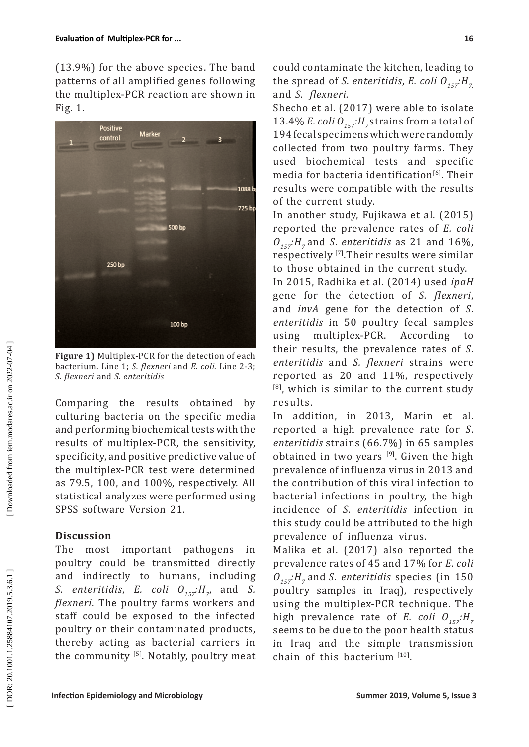(13.9%) for the above species. The band patterns of all amplified genes following the multiplex-PCR reaction are shown in Fig. 1.



**Figure 1)** Multiplex-PCR for the detection of each bacterium. Line 1; *S. flexneri* and *E. coli*. Line 2-3; *S. flexneri* and *S. enteritidis*

Comparing the results obtained by culturing bacteria on the specific media and performing biochemical tests with the results of multiplex-PCR, the sensitivity, specificity, and positive predictive value of the multiplex-PCR test were determined as 79.5, 100, and 100%, respectively. All statistical analyzes were performed using SPSS software Version 21.

## **Discussion**

The most important pathogens in poultry could be transmitted directly and indirectly to humans, including *S.* enteritidis, E. coli  $O_{157}$ :H<sub>7</sub>, and *S. flexneri*. The poultry farms workers and staff could be exposed to the infected poultry or their contaminated products, thereby acting as bacterial carriers in the community  $[5]$ . Notably, poultry meat

could contaminate the kitchen, leading to the spread of *S. enteritidis*, *E. coli*  $O_{157}$ : $H_{77}$ and *S. flexneri.*

Shecho et al. (2017) were able to isolate 13.4% *E. coli*  $O_{157}$ :  $H_{7}$  strains from a total of 194 fecal specimens which were randomly collected from two poultry farms. They used biochemical tests and specific media for bacteria identification<sup>[6]</sup>. Their results were compatible with the results of the current study.

In another study, Fujikawa et al. (2015) reported the prevalence rates of *E. coli O157:H7* and *S*. *enteritidis* as 21 and 16%, respectively [7].Their results were similar to those obtained in the current study.

In 2015, Radhika et al. (2014) used *ipaH* gene for the detection of *S. flexneri*, and *invA* gene for the detection of *S*. *enteritidis* in 50 poultry fecal samples using multiplex-PCR. According to their results, the prevalence rates of *S*. *enteritidis* and *S. flexneri* strains were reported as 20 and 11%, respectively  $[8]$ , which is similar to the current study results.

In addition, in 2013, Marin et al. reported a high prevalence rate for *S*. *enteritidis* strains (66.7%) in 65 samples obtained in two years  $[9]$ . Given the high prevalence of influenza virus in 2013 and the contribution of this viral infection to bacterial infections in poultry, the high incidence of *S*. *enteritidis* infection in this study could be attributed to the high prevalence of influenza virus.

Malika et al.  $(2017)$  also reported the prevalence rates of 45 and 17% for *E. coli*  $O_{157}$ : *H<sub>7</sub>* and *S. enteritidis* species (in 150 poultry samples in Iraq)*,* respectively using the multiplex-PCR technique. The high prevalence rate of *E. coli*  $O_{157}$ : $H_{77}$ seems to be due to the poor health status in Iraq and the simple transmission chain of this bacterium  $[10]$ .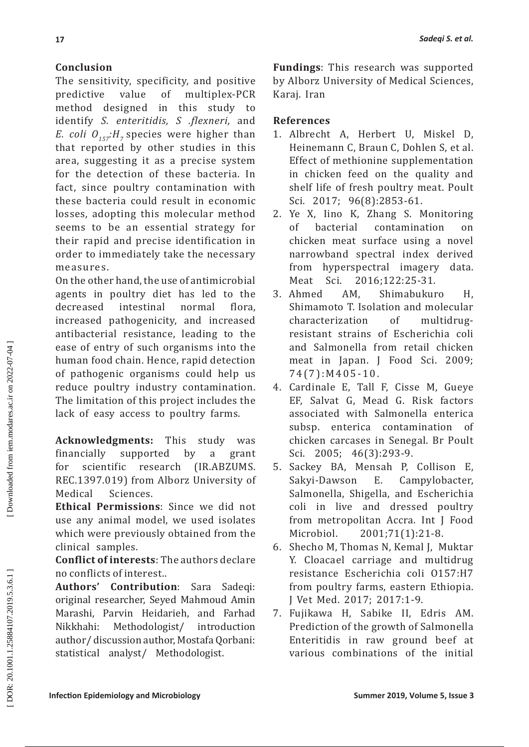# **Conclusion**

The sensitivity, specificity, and positive<br>predictive value of multiplex-PCR predictive value of multiplex-PCR method designed in this study to identify *S. enteritidis, S .flexneri,* and *E. coli*  $O_{157}H_{7}$  species were higher than that reported by other studies in this area, suggesting it as a precise system for the detection of these bacteria. In fact, since poultry contamination with these bacteria could result in economic losses, adopting this molecular method seems to be an essential strategy for their rapid and precise identification in order to immediately take the necessary measures.

On the other hand, the use of antimicrobial agents in poultry diet has led to the<br>decreased intestinal normal flora, decreased intestinal normal flora, increased pathogenicity, and increased antibacterial resistance, leading to the ease of entry of such organisms into the human food chain. Hence, rapid detection of pathogenic organisms could help us reduce poultry industry contamination. The limitation of this project includes the lack of easy access to poultry farms.

**Acknowledgments:** This study was financially supported by a grant<br>for scientific research (IR.ABZUMS. for scientific research (IR.ABZUMS. REC.1397.019) from Alborz University of<br>Medical Sciences Sciences

**Ethical Permissions**: Since we did not use any animal model, we used isolates which were previously obtained from the clinical samples.

**Conflict of interests**: The authors declare no conflicts of interest..

**Authors' Contribution**: Sara Sadeqi: original researcher, Seyed Mahmoud Amin Marashi, Parvin Heidarieh, and Farhad Methodologist/ author/ discussion author, Mostafa Qorbani: statistical analyst/ Methodologist.

**Fundings**: This research was supported by Alborz University of Medical Sciences, Karaj. Iran

## **References**

- 1. Albrecht A, Herbert U, Miskel D, Heinemann C, Braun C, Dohlen S, et al. Effect of methionine supplementation in chicken feed on the quality and shelf life of fresh poultry meat. Poult Sci. 2017; 96(8):2853-61.
- 2. Ye X, Iino K, Zhang S. Monitoring<br>of bacterial contamination on contamination on chicken meat surface using a novel narrowband spectral index derived<br>from hyperspectral imagery data. hyperspectral imagery data.<br>Sci. 2016:122:25-31. Meat Sci. 2016;122:25-31.<br>3. Ahmed AM. Shimabukui
- AM, Shimabukuro H, Shimamoto T. Isolation and molecular characterization of multidrugresistant strains of Escherichia coli and Salmonella from retail chicken meat in Japan. J Food Sci. 2009; 74(7):M405-10.
- 4. Cardinale E, Tall F, Cisse M, Gueye EF, Salvat G, Mead G. Risk factors associated with Salmonella enterica subsp. enterica contamination of chicken carcases in Senegal. Br Poult Sci. 2005; 46(3):293-9.
- 5. Sackey BA, Mensah P, Collison E, Campylobacter, Salmonella, Shigella, and Escherichia coli in live and dressed poultry from metropolitan Accra. Int J Food Microbiol. 2001;71(1):21-8.
- 6. Shecho M, Thomas N, Kemal J, Muktar Y. Cloacael carriage and multidrug resistance Escherichia coli O157:H7 from poultry farms, eastern Ethiopia. J Vet Med. 2017; 2017:1-9.
- 7. Fujikawa H, Sabike II, Edris AM. Prediction of the growth of Salmonella Enteritidis in raw ground beef at various combinations of the initial